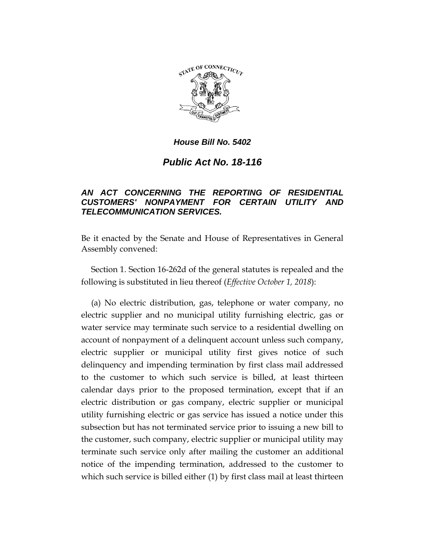

# *Public Act No. 18-116*

# *AN ACT CONCERNING THE REPORTING OF RESIDENTIAL CUSTOMERS' NONPAYMENT FOR CERTAIN UTILITY AND TELECOMMUNICATION SERVICES.*

Be it enacted by the Senate and House of Representatives in General Assembly convened:

Section 1. Section 16-262d of the general statutes is repealed and the following is substituted in lieu thereof (*Effective October 1, 2018*):

(a) No electric distribution, gas, telephone or water company, no electric supplier and no municipal utility furnishing electric, gas or water service may terminate such service to a residential dwelling on account of nonpayment of a delinquent account unless such company, electric supplier or municipal utility first gives notice of such delinquency and impending termination by first class mail addressed to the customer to which such service is billed, at least thirteen calendar days prior to the proposed termination, except that if an electric distribution or gas company, electric supplier or municipal utility furnishing electric or gas service has issued a notice under this subsection but has not terminated service prior to issuing a new bill to the customer, such company, electric supplier or municipal utility may terminate such service only after mailing the customer an additional notice of the impending termination, addressed to the customer to which such service is billed either (1) by first class mail at least thirteen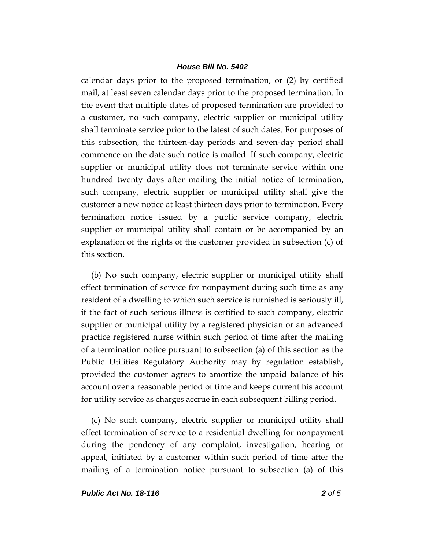calendar days prior to the proposed termination, or (2) by certified mail, at least seven calendar days prior to the proposed termination. In the event that multiple dates of proposed termination are provided to a customer, no such company, electric supplier or municipal utility shall terminate service prior to the latest of such dates. For purposes of this subsection, the thirteen-day periods and seven-day period shall commence on the date such notice is mailed. If such company, electric supplier or municipal utility does not terminate service within one hundred twenty days after mailing the initial notice of termination, such company, electric supplier or municipal utility shall give the customer a new notice at least thirteen days prior to termination. Every termination notice issued by a public service company, electric supplier or municipal utility shall contain or be accompanied by an explanation of the rights of the customer provided in subsection (c) of this section.

(b) No such company, electric supplier or municipal utility shall effect termination of service for nonpayment during such time as any resident of a dwelling to which such service is furnished is seriously ill, if the fact of such serious illness is certified to such company, electric supplier or municipal utility by a registered physician or an advanced practice registered nurse within such period of time after the mailing of a termination notice pursuant to subsection (a) of this section as the Public Utilities Regulatory Authority may by regulation establish, provided the customer agrees to amortize the unpaid balance of his account over a reasonable period of time and keeps current his account for utility service as charges accrue in each subsequent billing period.

(c) No such company, electric supplier or municipal utility shall effect termination of service to a residential dwelling for nonpayment during the pendency of any complaint, investigation, hearing or appeal, initiated by a customer within such period of time after the mailing of a termination notice pursuant to subsection (a) of this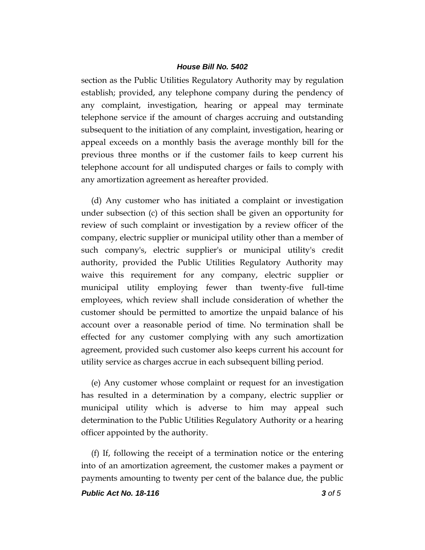section as the Public Utilities Regulatory Authority may by regulation establish; provided, any telephone company during the pendency of any complaint, investigation, hearing or appeal may terminate telephone service if the amount of charges accruing and outstanding subsequent to the initiation of any complaint, investigation, hearing or appeal exceeds on a monthly basis the average monthly bill for the previous three months or if the customer fails to keep current his telephone account for all undisputed charges or fails to comply with any amortization agreement as hereafter provided.

(d) Any customer who has initiated a complaint or investigation under subsection (c) of this section shall be given an opportunity for review of such complaint or investigation by a review officer of the company, electric supplier or municipal utility other than a member of such company's, electric supplier's or municipal utility's credit authority, provided the Public Utilities Regulatory Authority may waive this requirement for any company, electric supplier or municipal utility employing fewer than twenty-five full-time employees, which review shall include consideration of whether the customer should be permitted to amortize the unpaid balance of his account over a reasonable period of time. No termination shall be effected for any customer complying with any such amortization agreement, provided such customer also keeps current his account for utility service as charges accrue in each subsequent billing period.

(e) Any customer whose complaint or request for an investigation has resulted in a determination by a company, electric supplier or municipal utility which is adverse to him may appeal such determination to the Public Utilities Regulatory Authority or a hearing officer appointed by the authority.

(f) If, following the receipt of a termination notice or the entering into of an amortization agreement, the customer makes a payment or payments amounting to twenty per cent of the balance due, the public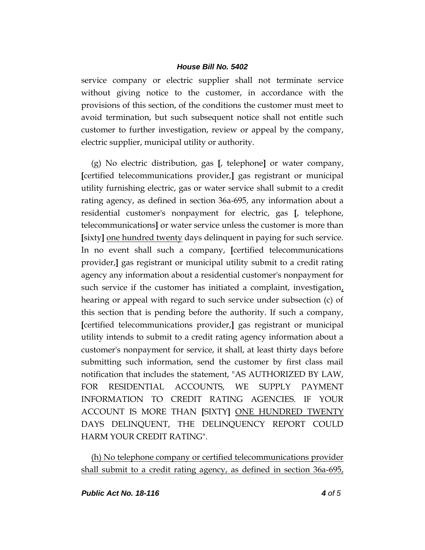service company or electric supplier shall not terminate service without giving notice to the customer, in accordance with the provisions of this section, of the conditions the customer must meet to avoid termination, but such subsequent notice shall not entitle such customer to further investigation, review or appeal by the company, electric supplier, municipal utility or authority.

(g) No electric distribution, gas **[**, telephone**]** or water company, **[**certified telecommunications provider,**]** gas registrant or municipal utility furnishing electric, gas or water service shall submit to a credit rating agency, as defined in section 36a-695, any information about a residential customer's nonpayment for electric, gas **[**, telephone, telecommunications**]** or water service unless the customer is more than **[**sixty**]** one hundred twenty days delinquent in paying for such service. In no event shall such a company, **[**certified telecommunications provider,**]** gas registrant or municipal utility submit to a credit rating agency any information about a residential customer's nonpayment for such service if the customer has initiated a complaint, investigation, hearing or appeal with regard to such service under subsection (c) of this section that is pending before the authority. If such a company, **[**certified telecommunications provider,**]** gas registrant or municipal utility intends to submit to a credit rating agency information about a customer's nonpayment for service, it shall, at least thirty days before submitting such information, send the customer by first class mail notification that includes the statement, "AS AUTHORIZED BY LAW, FOR RESIDENTIAL ACCOUNTS, WE SUPPLY PAYMENT INFORMATION TO CREDIT RATING AGENCIES. IF YOUR ACCOUNT IS MORE THAN **[**SIXTY**]** ONE HUNDRED TWENTY DAYS DELINQUENT, THE DELINQUENCY REPORT COULD HARM YOUR CREDIT RATING".

(h) No telephone company or certified telecommunications provider shall submit to a credit rating agency, as defined in section 36a-695,